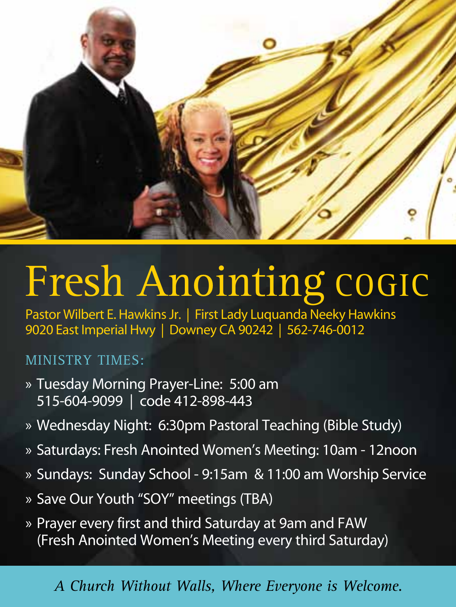

## Fresh Anointing COGIC

Pastor Wilbert E. Hawkins Jr. | First Lady Luquanda Neeky Hawkins 9020 East Imperial Hwy | Downey CA 90242 | 562-746-0012

## MINISTRY TIMES:

- » Tuesday Morning Prayer-Line: 5:00 am 515-604-9099 | code 412-898-443
- » Wednesday Night: 6:30pm Pastoral Teaching (Bible Study)
- » Saturdays: Fresh Anointed Women's Meeting: 10am 12noon
- » Sundays: Sunday School 9:15am & 11:00 am Worship Service
- » Save Our Youth "SOY" meetings (TBA)
- » Prayer every first and third Saturday at 9am and FAW (Fresh Anointed Women's Meeting every third Saturday)

## *A Church Without Walls, Where Everyone is Welcome.*